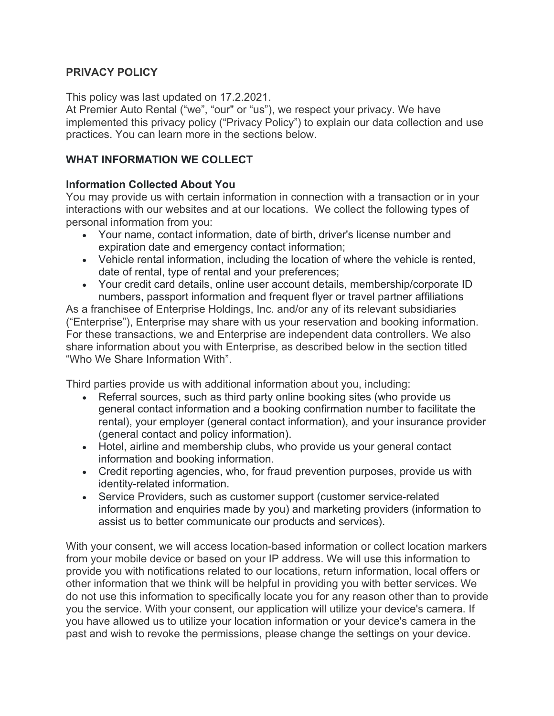## **PRIVACY POLICY**

This policy was last updated on 17.2.2021.

At Premier Auto Rental ("we", "our" or "us"), we respect your privacy. We have implemented this privacy policy ("Privacy Policy") to explain our data collection and use practices. You can learn more in the sections below.

### **WHAT INFORMATION WE COLLECT**

#### **Information Collected About You**

You may provide us with certain information in connection with a transaction or in your interactions with our websites and at our locations. We collect the following types of personal information from you:

- Your name, contact information, date of birth, driver's license number and expiration date and emergency contact information;
- Vehicle rental information, including the location of where the vehicle is rented, date of rental, type of rental and your preferences;
- Your credit card details, online user account details, membership/corporate ID numbers, passport information and frequent flyer or travel partner affiliations

As a franchisee of Enterprise Holdings, Inc. and/or any of its relevant subsidiaries ("Enterprise"), Enterprise may share with us your reservation and booking information. For these transactions, we and Enterprise are independent data controllers. We also share information about you with Enterprise, as described below in the section titled "Who We Share Information With".

Third parties provide us with additional information about you, including:

- Referral sources, such as third party online booking sites (who provide us general contact information and a booking confirmation number to facilitate the rental), your employer (general contact information), and your insurance provider (general contact and policy information).
- Hotel, airline and membership clubs, who provide us your general contact information and booking information.
- Credit reporting agencies, who, for fraud prevention purposes, provide us with identity-related information.
- Service Providers, such as customer support (customer service-related information and enquiries made by you) and marketing providers (information to assist us to better communicate our products and services).

With your consent, we will access location-based information or collect location markers from your mobile device or based on your IP address. We will use this information to provide you with notifications related to our locations, return information, local offers or other information that we think will be helpful in providing you with better services. We do not use this information to specifically locate you for any reason other than to provide you the service. With your consent, our application will utilize your device's camera. If you have allowed us to utilize your location information or your device's camera in the past and wish to revoke the permissions, please change the settings on your device.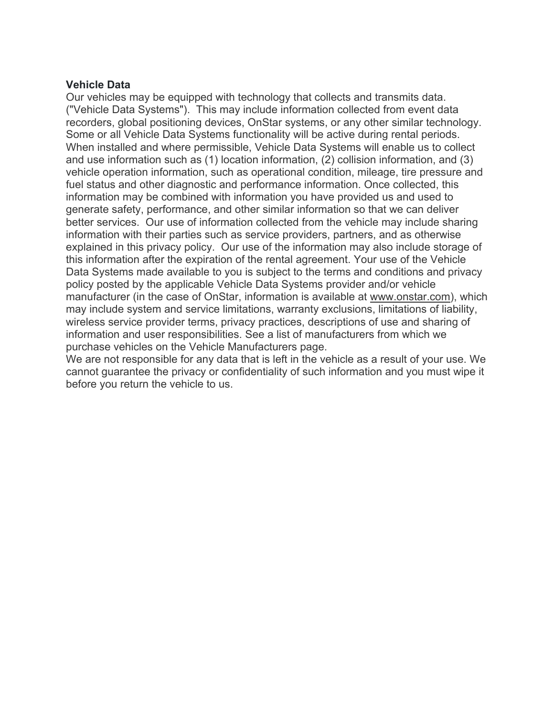#### **Vehicle Data**

Our vehicles may be equipped with technology that collects and transmits data. ("Vehicle Data Systems"). This may include information collected from event data recorders, global positioning devices, OnStar systems, or any other similar technology. Some or all Vehicle Data Systems functionality will be active during rental periods. When installed and where permissible, Vehicle Data Systems will enable us to collect and use information such as (1) location information, (2) collision information, and (3) vehicle operation information, such as operational condition, mileage, tire pressure and fuel status and other diagnostic and performance information. Once collected, this information may be combined with information you have provided us and used to generate safety, performance, and other similar information so that we can deliver better services. Our use of information collected from the vehicle may include sharing information with their parties such as service providers, partners, and as otherwise explained in this privacy policy. Our use of the information may also include storage of this information after the expiration of the rental agreement. Your use of the Vehicle Data Systems made available to you is subject to the terms and conditions and privacy policy posted by the applicable Vehicle Data Systems provider and/or vehicle manufacturer (in the case of OnStar, information is available at www.onstar.com), which may include system and service limitations, warranty exclusions, limitations of liability, wireless service provider terms, privacy practices, descriptions of use and sharing of information and user responsibilities. See a list of manufacturers from which we purchase vehicles on the Vehicle Manufacturers page.

We are not responsible for any data that is left in the vehicle as a result of your use. We cannot guarantee the privacy or confidentiality of such information and you must wipe it before you return the vehicle to us.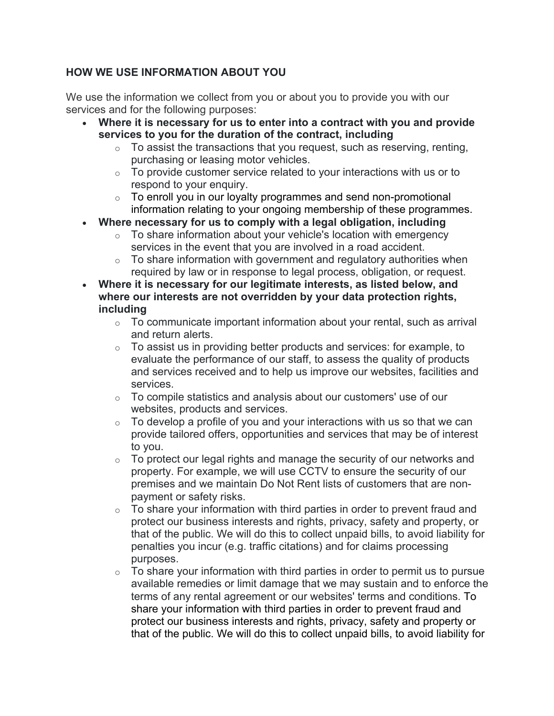# **HOW WE USE INFORMATION ABOUT YOU**

We use the information we collect from you or about you to provide you with our services and for the following purposes:

- **Where it is necessary for us to enter into a contract with you and provide services to you for the duration of the contract, including**
	- o To assist the transactions that you request, such as reserving, renting, purchasing or leasing motor vehicles.
	- $\circ$  To provide customer service related to your interactions with us or to respond to your enquiry.
	- o To enroll you in our loyalty programmes and send non-promotional information relating to your ongoing membership of these programmes.
- **Where necessary for us to comply with a legal obligation, including**
	- $\circ$  To share information about your vehicle's location with emergency services in the event that you are involved in a road accident.
	- $\circ$  To share information with government and regulatory authorities when required by law or in response to legal process, obligation, or request.
- **Where it is necessary for our legitimate interests, as listed below, and where our interests are not overridden by your data protection rights, including**
	- $\circ$  To communicate important information about your rental, such as arrival and return alerts.
	- $\circ$  To assist us in providing better products and services: for example, to evaluate the performance of our staff, to assess the quality of products and services received and to help us improve our websites, facilities and services.
	- o To compile statistics and analysis about our customers' use of our websites, products and services.
	- $\circ$  To develop a profile of you and your interactions with us so that we can provide tailored offers, opportunities and services that may be of interest to you.
	- o To protect our legal rights and manage the security of our networks and property. For example, we will use CCTV to ensure the security of our premises and we maintain Do Not Rent lists of customers that are nonpayment or safety risks.
	- $\circ$  To share your information with third parties in order to prevent fraud and protect our business interests and rights, privacy, safety and property, or that of the public. We will do this to collect unpaid bills, to avoid liability for penalties you incur (e.g. traffic citations) and for claims processing purposes.
	- $\circ$  To share your information with third parties in order to permit us to pursue available remedies or limit damage that we may sustain and to enforce the terms of any rental agreement or our websites' terms and conditions. To share your information with third parties in order to prevent fraud and protect our business interests and rights, privacy, safety and property or that of the public. We will do this to collect unpaid bills, to avoid liability for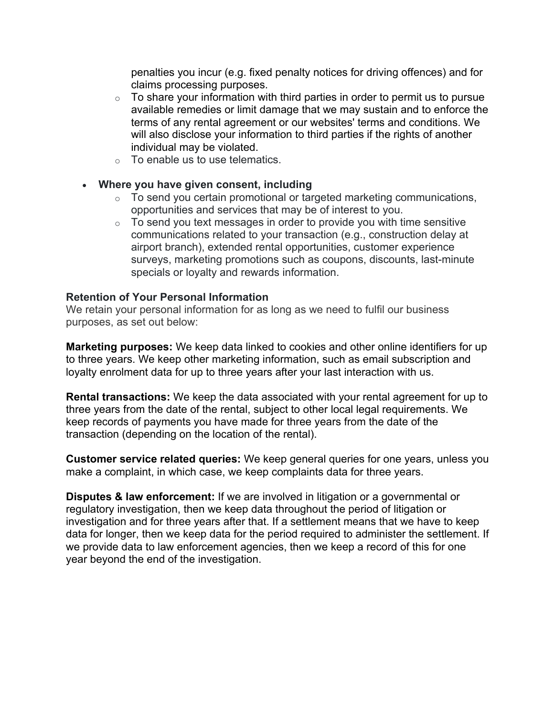penalties you incur (e.g. fixed penalty notices for driving offences) and for claims processing purposes.

- $\circ$  To share your information with third parties in order to permit us to pursue available remedies or limit damage that we may sustain and to enforce the terms of any rental agreement or our websites' terms and conditions. We will also disclose your information to third parties if the rights of another individual may be violated.
- o To enable us to use telematics.

#### • **Where you have given consent, including**

- o To send you certain promotional or targeted marketing communications, opportunities and services that may be of interest to you.
- $\circ$  To send you text messages in order to provide you with time sensitive communications related to your transaction (e.g., construction delay at airport branch), extended rental opportunities, customer experience surveys, marketing promotions such as coupons, discounts, last-minute specials or loyalty and rewards information.

#### **Retention of Your Personal Information**

We retain your personal information for as long as we need to fulfil our business purposes, as set out below:

**Marketing purposes:** We keep data linked to cookies and other online identifiers for up to three years. We keep other marketing information, such as email subscription and loyalty enrolment data for up to three years after your last interaction with us.

**Rental transactions:** We keep the data associated with your rental agreement for up to three years from the date of the rental, subject to other local legal requirements. We keep records of payments you have made for three years from the date of the transaction (depending on the location of the rental).

**Customer service related queries:** We keep general queries for one years, unless you make a complaint, in which case, we keep complaints data for three years.

**Disputes & law enforcement:** If we are involved in litigation or a governmental or regulatory investigation, then we keep data throughout the period of litigation or investigation and for three years after that. If a settlement means that we have to keep data for longer, then we keep data for the period required to administer the settlement. If we provide data to law enforcement agencies, then we keep a record of this for one year beyond the end of the investigation.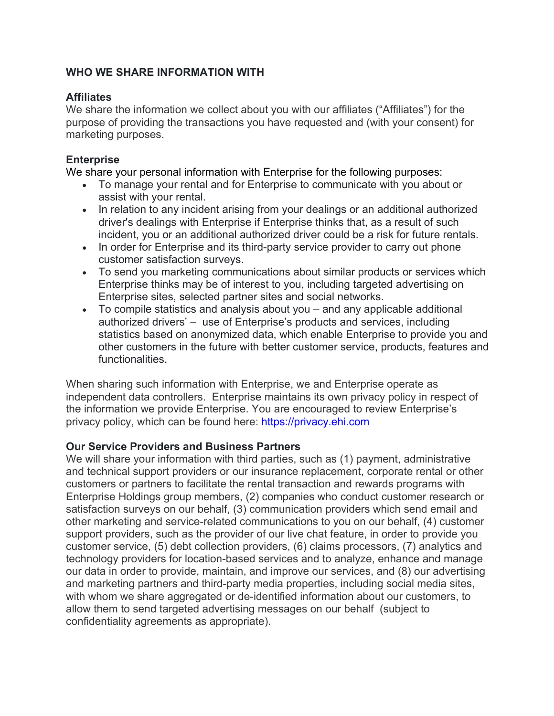### **WHO WE SHARE INFORMATION WITH**

### **Affiliates**

We share the information we collect about you with our affiliates ("Affiliates") for the purpose of providing the transactions you have requested and (with your consent) for marketing purposes.

### **Enterprise**

We share your personal information with Enterprise for the following purposes:

- To manage your rental and for Enterprise to communicate with you about or assist with your rental.
- In relation to any incident arising from your dealings or an additional authorized driver's dealings with Enterprise if Enterprise thinks that, as a result of such incident, you or an additional authorized driver could be a risk for future rentals.
- In order for Enterprise and its third-party service provider to carry out phone customer satisfaction surveys.
- To send you marketing communications about similar products or services which Enterprise thinks may be of interest to you, including targeted advertising on Enterprise sites, selected partner sites and social networks.
- To compile statistics and analysis about you and any applicable additional authorized drivers' – use of Enterprise's products and services, including statistics based on anonymized data, which enable Enterprise to provide you and other customers in the future with better customer service, products, features and functionalities.

When sharing such information with Enterprise, we and Enterprise operate as independent data controllers. Enterprise maintains its own privacy policy in respect of the information we provide Enterprise. You are encouraged to review Enterprise's privacy policy, which can be found here: https://privacy.ehi.com

## **Our Service Providers and Business Partners**

We will share your information with third parties, such as (1) payment, administrative and technical support providers or our insurance replacement, corporate rental or other customers or partners to facilitate the rental transaction and rewards programs with Enterprise Holdings group members, (2) companies who conduct customer research or satisfaction surveys on our behalf, (3) communication providers which send email and other marketing and service-related communications to you on our behalf, (4) customer support providers, such as the provider of our live chat feature, in order to provide you customer service, (5) debt collection providers, (6) claims processors, (7) analytics and technology providers for location-based services and to analyze, enhance and manage our data in order to provide, maintain, and improve our services, and (8) our advertising and marketing partners and third-party media properties, including social media sites, with whom we share aggregated or de-identified information about our customers, to allow them to send targeted advertising messages on our behalf (subject to confidentiality agreements as appropriate).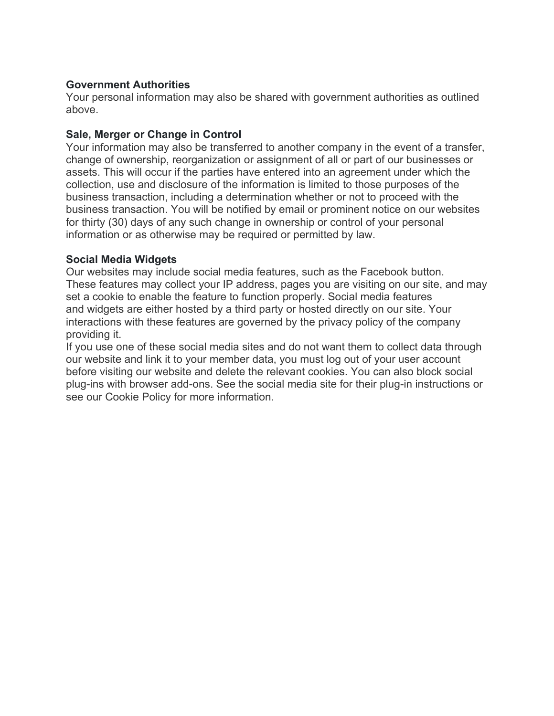#### **Government Authorities**

Your personal information may also be shared with government authorities as outlined above.

### **Sale, Merger or Change in Control**

Your information may also be transferred to another company in the event of a transfer, change of ownership, reorganization or assignment of all or part of our businesses or assets. This will occur if the parties have entered into an agreement under which the collection, use and disclosure of the information is limited to those purposes of the business transaction, including a determination whether or not to proceed with the business transaction. You will be notified by email or prominent notice on our websites for thirty (30) days of any such change in ownership or control of your personal information or as otherwise may be required or permitted by law.

### **Social Media Widgets**

Our websites may include social media features, such as the Facebook button. These features may collect your IP address, pages you are visiting on our site, and may set a cookie to enable the feature to function properly. Social media features and widgets are either hosted by a third party or hosted directly on our site. Your interactions with these features are governed by the privacy policy of the company providing it.

If you use one of these social media sites and do not want them to collect data through our website and link it to your member data, you must log out of your user account before visiting our website and delete the relevant cookies. You can also block social plug-ins with browser add-ons. See the social media site for their plug-in instructions or see our Cookie Policy for more information.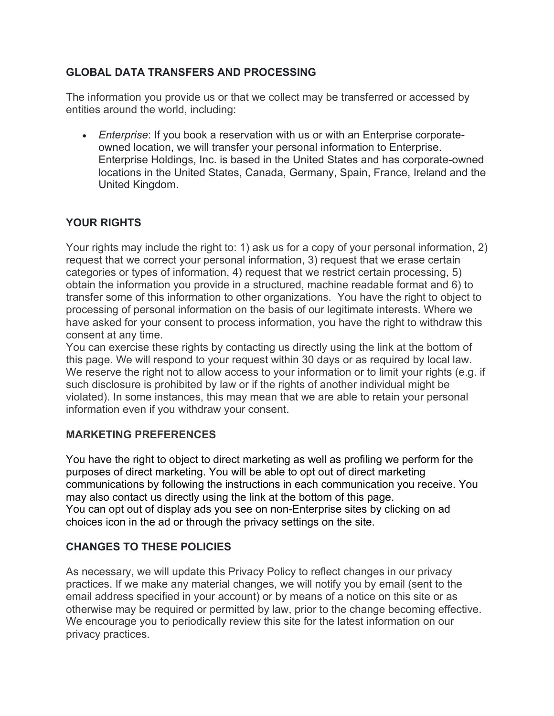# **GLOBAL DATA TRANSFERS AND PROCESSING**

The information you provide us or that we collect may be transferred or accessed by entities around the world, including:

• *Enterprise*: If you book a reservation with us or with an Enterprise corporateowned location, we will transfer your personal information to Enterprise. Enterprise Holdings, Inc. is based in the United States and has corporate-owned locations in the United States, Canada, Germany, Spain, France, Ireland and the United Kingdom.

# **YOUR RIGHTS**

Your rights may include the right to: 1) ask us for a copy of your personal information, 2) request that we correct your personal information, 3) request that we erase certain categories or types of information, 4) request that we restrict certain processing, 5) obtain the information you provide in a structured, machine readable format and 6) to transfer some of this information to other organizations. You have the right to object to processing of personal information on the basis of our legitimate interests. Where we have asked for your consent to process information, you have the right to withdraw this consent at any time.

You can exercise these rights by contacting us directly using the link at the bottom of this page. We will respond to your request within 30 days or as required by local law. We reserve the right not to allow access to your information or to limit your rights (e.g. if such disclosure is prohibited by law or if the rights of another individual might be violated). In some instances, this may mean that we are able to retain your personal information even if you withdraw your consent.

## **MARKETING PREFERENCES**

You have the right to object to direct marketing as well as profiling we perform for the purposes of direct marketing. You will be able to opt out of direct marketing communications by following the instructions in each communication you receive. You may also contact us directly using the link at the bottom of this page. You can opt out of display ads you see on non-Enterprise sites by clicking on ad choices icon in the ad or through the privacy settings on the site.

# **CHANGES TO THESE POLICIES**

As necessary, we will update this Privacy Policy to reflect changes in our privacy practices. If we make any material changes, we will notify you by email (sent to the email address specified in your account) or by means of a notice on this site or as otherwise may be required or permitted by law, prior to the change becoming effective. We encourage you to periodically review this site for the latest information on our privacy practices.